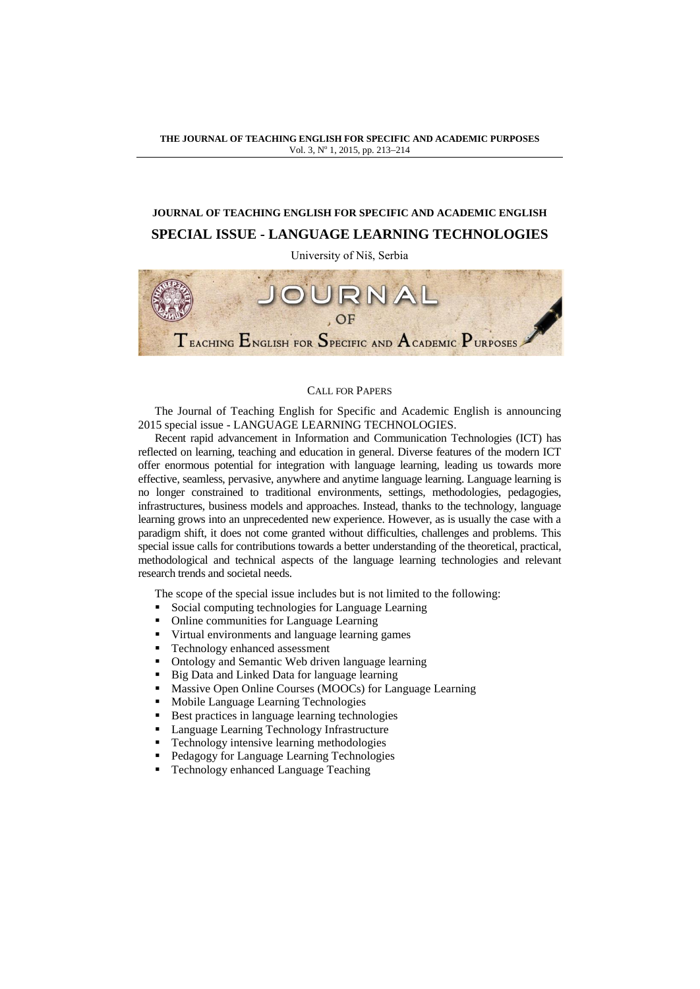## **THE JOURNAL OF TEACHING ENGLISH FOR SPECIFIC AND ACADEMIC PURPOSES** Vol. 3, Nº 1, 2015, pp. 213-214

## **JOURNAL OF TEACHING ENGLISH FOR SPECIFIC AND ACADEMIC ENGLISH SPECIAL ISSUE - LANGUAGE LEARNING TECHNOLOGIES**

University of Niš, Serbia



## CALL FOR PAPERS

The Journal of Teaching English for Specific and Academic English is announcing 2015 special issue - LANGUAGE LEARNING TECHNOLOGIES.

Recent rapid advancement in Information and Communication Technologies (ICT) has reflected on learning, teaching and education in general. Diverse features of the modern ICT offer enormous potential for integration with language learning, leading us towards more effective, seamless, pervasive, anywhere and anytime language learning. Language learning is no longer constrained to traditional environments, settings, methodologies, pedagogies, infrastructures, business models and approaches. Instead, thanks to the technology, language learning grows into an unprecedented new experience. However, as is usually the case with a paradigm shift, it does not come granted without difficulties, challenges and problems. This special issue calls for contributions towards a better understanding of the theoretical, practical, methodological and technical aspects of the language learning technologies and relevant research trends and societal needs.

The scope of the special issue includes but is not limited to the following:

- Social computing technologies for Language Learning
- Online communities for Language Learning
- Virtual environments and language learning games
- Technology enhanced assessment
- Ontology and Semantic Web driven language learning
- Big Data and Linked Data for language learning
- Massive Open Online Courses (MOOCs) for Language Learning
- Mobile Language Learning Technologies
- Best practices in language learning technologies
- Language Learning Technology Infrastructure
- Technology intensive learning methodologies
- Pedagogy for Language Learning Technologies
- Technology enhanced Language Teaching